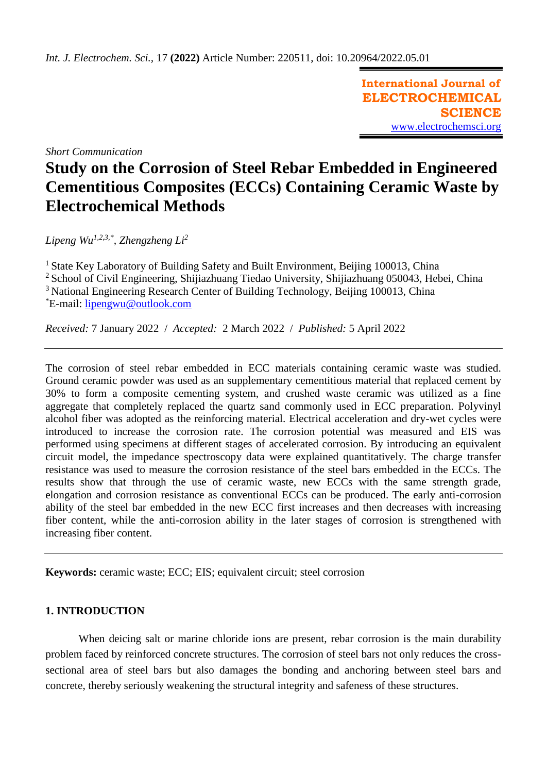**International Journal of ELECTROCHEMICAL SCIENCE** [www.electrochemsci.org](http://www.electrochemsci.org/)

*Short Communication*

# **Study on the Corrosion of Steel Rebar Embedded in Engineered Cementitious Composites (ECCs) Containing Ceramic Waste by Electrochemical Methods**

*Lipeng Wu1,2,3,\* , Zhengzheng Li<sup>2</sup>*

<sup>1</sup> State Key Laboratory of Building Safety and Built Environment, Beijing 100013, China <sup>2</sup> School of Civil Engineering, Shijiazhuang Tiedao University, Shijiazhuang 050043, Hebei, China <sup>3</sup> National Engineering Research Center of Building Technology, Beijing 100013, China \*E-mail: [lipengwu@outlook.com](mailto:lipengwu@outlook.com)

*Received:* 7 January 2022/ *Accepted:* 2 March 2022 / *Published:* 5 April 2022

The corrosion of steel rebar embedded in ECC materials containing ceramic waste was studied. Ground ceramic powder was used as an supplementary cementitious material that replaced cement by 30% to form a composite cementing system, and crushed waste ceramic was utilized as a fine aggregate that completely replaced the quartz sand commonly used in ECC preparation. Polyvinyl alcohol fiber was adopted as the reinforcing material. Electrical acceleration and dry-wet cycles were introduced to increase the corrosion rate. The corrosion potential was measured and EIS was performed using specimens at different stages of accelerated corrosion. By introducing an equivalent circuit model, the impedance spectroscopy data were explained quantitatively. The charge transfer resistance was used to measure the corrosion resistance of the steel bars embedded in the ECCs. The results show that through the use of ceramic waste, new ECCs with the same strength grade, elongation and corrosion resistance as conventional ECCs can be produced. The early anti-corrosion ability of the steel bar embedded in the new ECC first increases and then decreases with increasing fiber content, while the anti-corrosion ability in the later stages of corrosion is strengthened with increasing fiber content.

**Keywords:** ceramic waste; ECC; EIS; equivalent circuit; steel corrosion

# **1. INTRODUCTION**

When deicing salt or marine chloride ions are present, rebar corrosion is the main durability problem faced by reinforced concrete structures. The corrosion of steel bars not only reduces the crosssectional area of steel bars but also damages the bonding and anchoring between steel bars and concrete, thereby seriously weakening the structural integrity and safeness of these structures.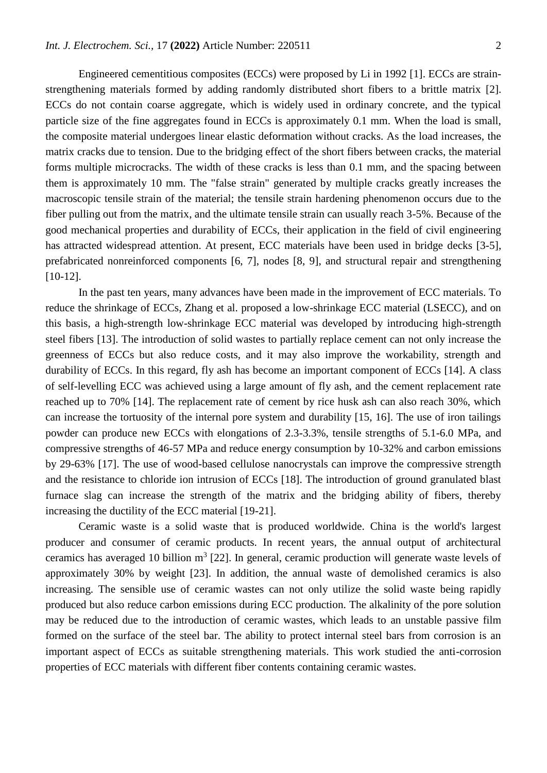Engineered cementitious composites (ECCs) were proposed by Li in 1992 [1]. ECCs are strainstrengthening materials formed by adding randomly distributed short fibers to a brittle matrix [2]. ECCs do not contain coarse aggregate, which is widely used in ordinary concrete, and the typical particle size of the fine aggregates found in ECCs is approximately 0.1 mm. When the load is small, the composite material undergoes linear elastic deformation without cracks. As the load increases, the matrix cracks due to tension. Due to the bridging effect of the short fibers between cracks, the material forms multiple microcracks. The width of these cracks is less than 0.1 mm, and the spacing between them is approximately 10 mm. The "false strain" generated by multiple cracks greatly increases the macroscopic tensile strain of the material; the tensile strain hardening phenomenon occurs due to the fiber pulling out from the matrix, and the ultimate tensile strain can usually reach 3-5%. Because of the good mechanical properties and durability of ECCs, their application in the field of civil engineering has attracted widespread attention. At present, ECC materials have been used in bridge decks [3-5], prefabricated nonreinforced components [6, 7], nodes [8, 9], and structural repair and strengthening [10-12].

In the past ten years, many advances have been made in the improvement of ECC materials. To reduce the shrinkage of ECCs, Zhang et al. proposed a low-shrinkage ECC material (LSECC), and on this basis, a high-strength low-shrinkage ECC material was developed by introducing high-strength steel fibers [13]. The introduction of solid wastes to partially replace cement can not only increase the greenness of ECCs but also reduce costs, and it may also improve the workability, strength and durability of ECCs. In this regard, fly ash has become an important component of ECCs [14]. A class of self-levelling ECC was achieved using a large amount of fly ash, and the cement replacement rate reached up to 70% [14]. The replacement rate of cement by rice husk ash can also reach 30%, which can increase the tortuosity of the internal pore system and durability [15, 16]. The use of iron tailings powder can produce new ECCs with elongations of 2.3-3.3%, tensile strengths of 5.1-6.0 MPa, and compressive strengths of 46-57 MPa and reduce energy consumption by 10-32% and carbon emissions by 29-63% [17]. The use of wood-based cellulose nanocrystals can improve the compressive strength and the resistance to chloride ion intrusion of ECCs [18]. The introduction of ground granulated blast furnace slag can increase the strength of the matrix and the bridging ability of fibers, thereby increasing the ductility of the ECC material [19-21].

Ceramic waste is a solid waste that is produced worldwide. China is the world's largest producer and consumer of ceramic products. In recent years, the annual output of architectural ceramics has averaged 10 billion  $m^3$  [22]. In general, ceramic production will generate waste levels of approximately 30% by weight [23]. In addition, the annual waste of demolished ceramics is also increasing. The sensible use of ceramic wastes can not only utilize the solid waste being rapidly produced but also reduce carbon emissions during ECC production. The alkalinity of the pore solution may be reduced due to the introduction of ceramic wastes, which leads to an unstable passive film formed on the surface of the steel bar. The ability to protect internal steel bars from corrosion is an important aspect of ECCs as suitable strengthening materials. This work studied the anti-corrosion properties of ECC materials with different fiber contents containing ceramic wastes.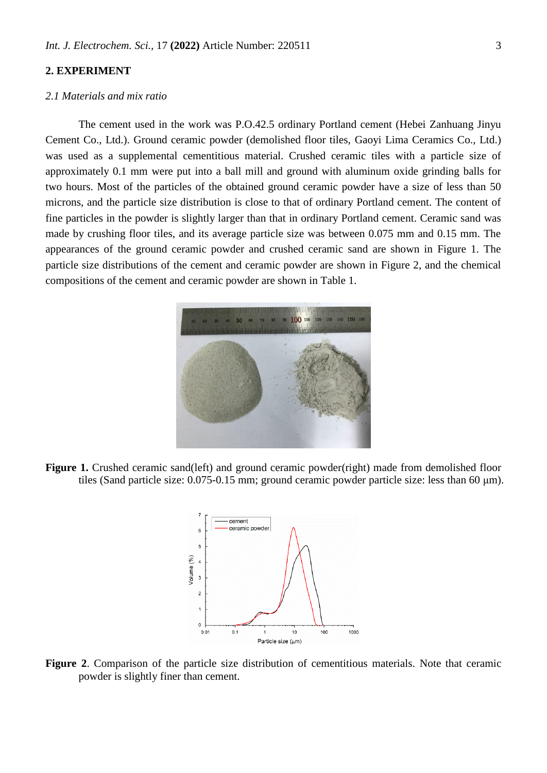# **2. EXPERIMENT**

## *2.1 Materials and mix ratio*

The cement used in the work was P.O.42.5 ordinary Portland cement (Hebei Zanhuang Jinyu Cement Co., Ltd.). Ground ceramic powder (demolished floor tiles, Gaoyi Lima Ceramics Co., Ltd.) was used as a supplemental cementitious material. Crushed ceramic tiles with a particle size of approximately 0.1 mm were put into a ball mill and ground with aluminum oxide grinding balls for two hours. Most of the particles of the obtained ground ceramic powder have a size of less than 50 microns, and the particle size distribution is close to that of ordinary Portland cement. The content of fine particles in the powder is slightly larger than that in ordinary Portland cement. Ceramic sand was made by crushing floor tiles, and its average particle size was between 0.075 mm and 0.15 mm. The appearances of the ground ceramic powder and crushed ceramic sand are shown in Figure 1. The particle size distributions of the cement and ceramic powder are shown in Figure 2, and the chemical compositions of the cement and ceramic powder are shown in Table 1.



Figure 1. Crushed ceramic sand(left) and ground ceramic powder(right) made from demolished floor tiles (Sand particle size: 0.075-0.15 mm; ground ceramic powder particle size: less than 60 μm).



**Figure 2**. Comparison of the particle size distribution of cementitious materials. Note that ceramic powder is slightly finer than cement.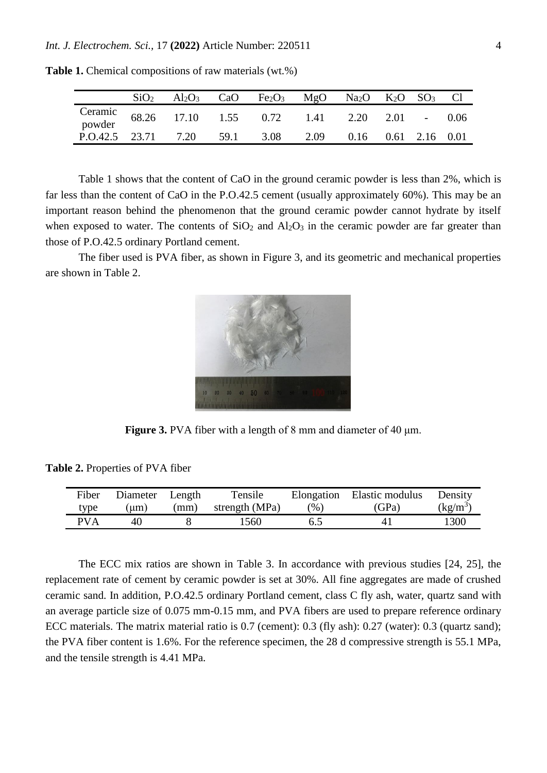|                                                               | SiO <sub>2</sub> | $Al_2O_3$ | CaO Fe <sub>2</sub> O <sub>3</sub> MgO Na <sub>2</sub> O K <sub>2</sub> O SO <sub>3</sub> Cl |                          |  |  |
|---------------------------------------------------------------|------------------|-----------|----------------------------------------------------------------------------------------------|--------------------------|--|--|
| Ceramic 68.26 17.10 1.55 0.72 1.41 2.20 2.01 - 0.06<br>powder |                  |           |                                                                                              |                          |  |  |
| $P. O.42.5$ 23.71 7.20 59.1 3.08                              |                  |           |                                                                                              | 2.09 0.16 0.61 2.16 0.01 |  |  |

**Table 1.** Chemical compositions of raw materials (wt.%)

Table 1 shows that the content of CaO in the ground ceramic powder is less than 2%, which is far less than the content of CaO in the P.O.42.5 cement (usually approximately 60%). This may be an important reason behind the phenomenon that the ground ceramic powder cannot hydrate by itself when exposed to water. The contents of  $SiO_2$  and  $Al_2O_3$  in the ceramic powder are far greater than those of P.O.42.5 ordinary Portland cement.

The fiber used is PVA fiber, as shown in Figure 3, and its geometric and mechanical properties are shown in Table 2.



**Figure 3.** PVA fiber with a length of 8 mm and diameter of 40 μm.

**Table 2.** Properties of PVA fiber

| Fiber      | Diameter Length |      | Tensile        |         | Elongation Elastic modulus | Density    |
|------------|-----------------|------|----------------|---------|----------------------------|------------|
| type       | $\mu$ m)        | (mm) | strength (MPa) | $(\% )$ | (GPa)                      | $(kg/m^3)$ |
| <b>PVA</b> | 40              |      | 1560.          | 6.5     |                            | 1300       |

The ECC mix ratios are shown in Table 3. In accordance with previous studies [24, 25], the replacement rate of cement by ceramic powder is set at 30%. All fine aggregates are made of crushed ceramic sand. In addition, P.O.42.5 ordinary Portland cement, class C fly ash, water, quartz sand with an average particle size of 0.075 mm-0.15 mm, and PVA fibers are used to prepare reference ordinary ECC materials. The matrix material ratio is 0.7 (cement): 0.3 (fly ash): 0.27 (water): 0.3 (quartz sand); the PVA fiber content is 1.6%. For the reference specimen, the 28 d compressive strength is 55.1 MPa, and the tensile strength is 4.41 MPa.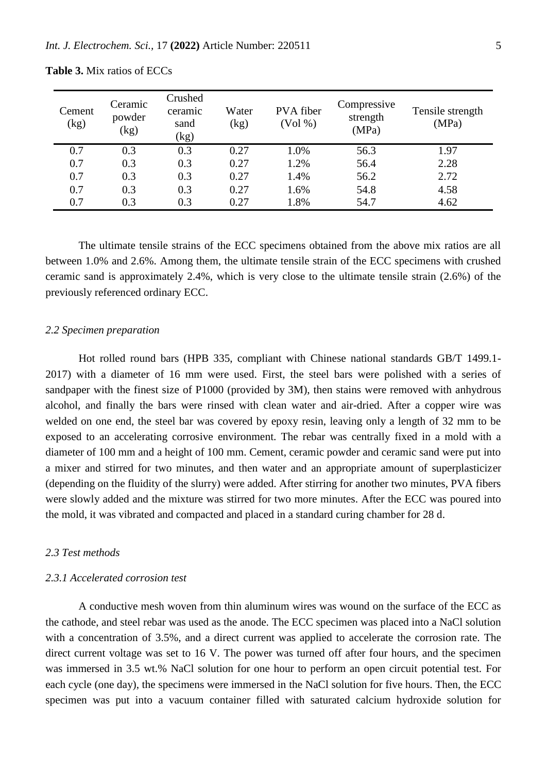| Cement<br>(kg) | Ceramic<br>powder<br>(kg) | Crushed<br>ceramic<br>sand<br>(kg) | Water<br>(kg) | PVA fiber<br>(Vol %) | Compressive<br>strength<br>(MPa) | Tensile strength<br>(MPa) |
|----------------|---------------------------|------------------------------------|---------------|----------------------|----------------------------------|---------------------------|
| 0.7            | 0.3                       | 0.3                                | 0.27          | 1.0%                 | 56.3                             | 1.97                      |
| 0.7            | 0.3                       | 0.3                                | 0.27          | 1.2%                 | 56.4                             | 2.28                      |
| 0.7            | 0.3                       | 0.3                                | 0.27          | 1.4%                 | 56.2                             | 2.72                      |
| 0.7            | 0.3                       | 0.3                                | 0.27          | 1.6%                 | 54.8                             | 4.58                      |
| 0.7            | 0.3                       | 0.3                                | 0.27          | 1.8%                 | 54.7                             | 4.62                      |

**Table 3.** Mix ratios of ECCs

The ultimate tensile strains of the ECC specimens obtained from the above mix ratios are all between 1.0% and 2.6%. Among them, the ultimate tensile strain of the ECC specimens with crushed ceramic sand is approximately 2.4%, which is very close to the ultimate tensile strain (2.6%) of the previously referenced ordinary ECC.

## *2.2 Specimen preparation*

Hot rolled round bars (HPB 335, compliant with Chinese national standards GB/T 1499.1- 2017) with a diameter of 16 mm were used. First, the steel bars were polished with a series of sandpaper with the finest size of P1000 (provided by 3M), then stains were removed with anhydrous alcohol, and finally the bars were rinsed with clean water and air-dried. After a copper wire was welded on one end, the steel bar was covered by epoxy resin, leaving only a length of 32 mm to be exposed to an accelerating corrosive environment. The rebar was centrally fixed in a mold with a diameter of 100 mm and a height of 100 mm. Cement, ceramic powder and ceramic sand were put into a mixer and stirred for two minutes, and then water and an appropriate amount of superplasticizer (depending on the fluidity of the slurry) were added. After stirring for another two minutes, PVA fibers were slowly added and the mixture was stirred for two more minutes. After the ECC was poured into the mold, it was vibrated and compacted and placed in a standard curing chamber for 28 d.

# *2.3 Test methods*

# *2.3.1 Accelerated corrosion test*

A conductive mesh woven from thin aluminum wires was wound on the surface of the ECC as the cathode, and steel rebar was used as the anode. The ECC specimen was placed into a NaCl solution with a concentration of 3.5%, and a direct current was applied to accelerate the corrosion rate. The direct current voltage was set to 16 V. The power was turned off after four hours, and the specimen was immersed in 3.5 wt.% NaCl solution for one hour to perform an open circuit potential test. For each cycle (one day), the specimens were immersed in the NaCl solution for five hours. Then, the ECC specimen was put into a vacuum container filled with saturated calcium hydroxide solution for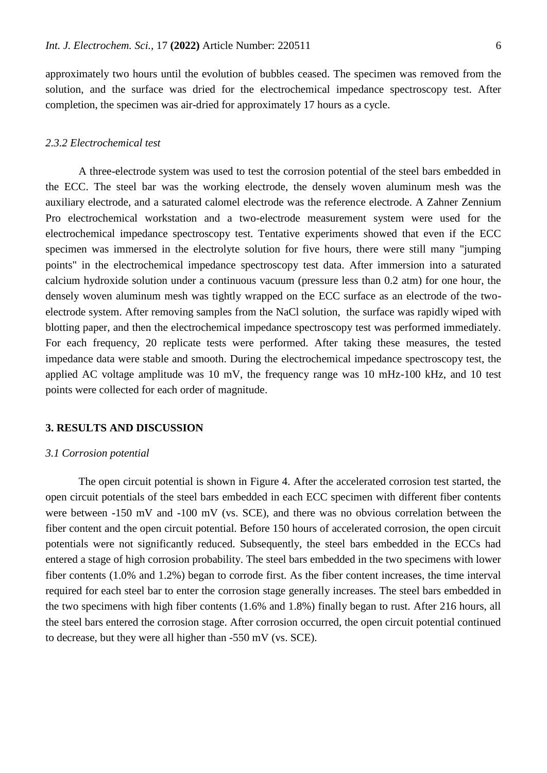approximately two hours until the evolution of bubbles ceased. The specimen was removed from the solution, and the surface was dried for the electrochemical impedance spectroscopy test. After completion, the specimen was air-dried for approximately 17 hours as a cycle.

# *2.3.2 Electrochemical test*

A three-electrode system was used to test the corrosion potential of the steel bars embedded in the ECC. The steel bar was the working electrode, the densely woven aluminum mesh was the auxiliary electrode, and a saturated calomel electrode was the reference electrode. A Zahner Zennium Pro electrochemical workstation and a two-electrode measurement system were used for the electrochemical impedance spectroscopy test. Tentative experiments showed that even if the ECC specimen was immersed in the electrolyte solution for five hours, there were still many "jumping points" in the electrochemical impedance spectroscopy test data. After immersion into a saturated calcium hydroxide solution under a continuous vacuum (pressure less than 0.2 atm) for one hour, the densely woven aluminum mesh was tightly wrapped on the ECC surface as an electrode of the twoelectrode system. After removing samples from the NaCl solution, the surface was rapidly wiped with blotting paper, and then the electrochemical impedance spectroscopy test was performed immediately. For each frequency, 20 replicate tests were performed. After taking these measures, the tested impedance data were stable and smooth. During the electrochemical impedance spectroscopy test, the applied AC voltage amplitude was 10 mV, the frequency range was 10 mHz-100 kHz, and 10 test points were collected for each order of magnitude.

## **3. RESULTS AND DISCUSSION**

#### *3.1 Corrosion potential*

The open circuit potential is shown in Figure 4. After the accelerated corrosion test started, the open circuit potentials of the steel bars embedded in each ECC specimen with different fiber contents were between -150 mV and -100 mV (vs. SCE), and there was no obvious correlation between the fiber content and the open circuit potential. Before 150 hours of accelerated corrosion, the open circuit potentials were not significantly reduced. Subsequently, the steel bars embedded in the ECCs had entered a stage of high corrosion probability. The steel bars embedded in the two specimens with lower fiber contents (1.0% and 1.2%) began to corrode first. As the fiber content increases, the time interval required for each steel bar to enter the corrosion stage generally increases. The steel bars embedded in the two specimens with high fiber contents (1.6% and 1.8%) finally began to rust. After 216 hours, all the steel bars entered the corrosion stage. After corrosion occurred, the open circuit potential continued to decrease, but they were all higher than -550 mV (vs. SCE).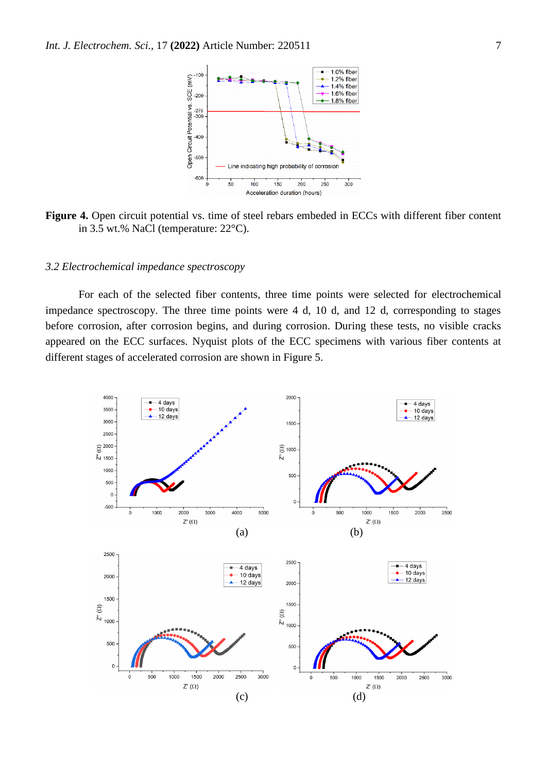

**Figure 4.** Open circuit potential vs. time of steel rebars embeded in ECCs with different fiber content in 3.5 wt.% NaCl (temperature: 22°C).

## *3.2 Electrochemical impedance spectroscopy*

For each of the selected fiber contents, three time points were selected for electrochemical impedance spectroscopy. The three time points were 4 d, 10 d, and 12 d, corresponding to stages before corrosion, after corrosion begins, and during corrosion. During these tests, no visible cracks appeared on the ECC surfaces. Nyquist plots of the ECC specimens with various fiber contents at different stages of accelerated corrosion are shown in Figure 5.

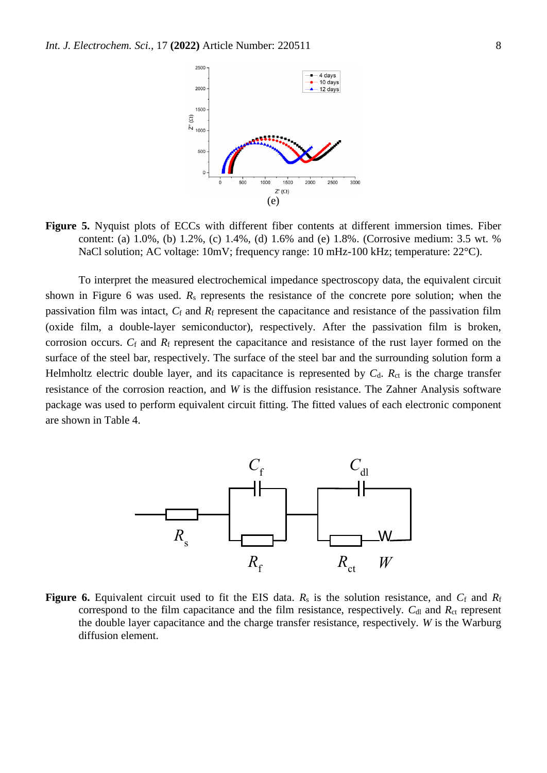

**Figure 5.** Nyquist plots of ECCs with different fiber contents at different immersion times. Fiber content: (a) 1.0%, (b) 1.2%, (c) 1.4%, (d) 1.6% and (e) 1.8%. (Corrosive medium: 3.5 wt. % NaCl solution; AC voltage: 10mV; frequency range: 10 mHz-100 kHz; temperature: 22<sup>o</sup>C).

To interpret the measured electrochemical impedance spectroscopy data, the equivalent circuit shown in Figure 6 was used. *R*<sup>s</sup> represents the resistance of the concrete pore solution; when the passivation film was intact,  $C_f$  and  $R_f$  represent the capacitance and resistance of the passivation film (oxide film, a double-layer semiconductor), respectively. After the passivation film is broken, corrosion occurs. *C*<sup>f</sup> and *R*<sup>f</sup> represent the capacitance and resistance of the rust layer formed on the surface of the steel bar, respectively. The surface of the steel bar and the surrounding solution form a Helmholtz electric double layer, and its capacitance is represented by  $C_d$ .  $R_{ct}$  is the charge transfer resistance of the corrosion reaction, and *W* is the diffusion resistance. The Zahner Analysis software package was used to perform equivalent circuit fitting. The fitted values of each electronic component are shown in Table 4.



**Figure 6.** Equivalent circuit used to fit the EIS data.  $R_s$  is the solution resistance, and  $C_f$  and  $R_f$ correspond to the film capacitance and the film resistance, respectively.  $C_{dl}$  and  $R_{ct}$  represent the double layer capacitance and the charge transfer resistance, respectively. *W* is the Warburg diffusion element.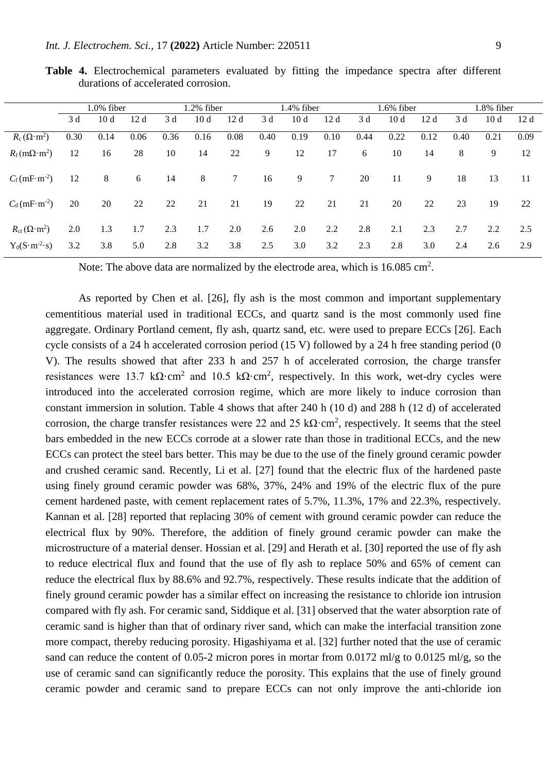|                                           | $1.0\%$ fiber |      | 1.2% fiber |      | 1.4% fiber |      | 1.6% fiber |      |                 | 1.8% fiber |      |      |      |      |      |
|-------------------------------------------|---------------|------|------------|------|------------|------|------------|------|-----------------|------------|------|------|------|------|------|
|                                           | 3 d           | 10d  | 12d        | 3 d  | 10d        | 12d  | 3 d        | 10d  | 12 d            | 3 d        | 10d  | 12d  | 3 d  | 10d  | 12d  |
| $R_c(\Omega \cdot m^2)$                   | 0.30          | 0.14 | 0.06       | 0.36 | 0.16       | 0.08 | 0.40       | 0.19 | 0.10            | 0.44       | 0.22 | 0.12 | 0.40 | 0.21 | 0.09 |
| $R_{\rm f}$ (m $\Omega$ ·m <sup>2</sup> ) | 12            | 16   | 28         | 10   | 14         | 22   | 9          | 12   | 17              | 6          | 10   | 14   | 8    | 9    | 12   |
| $C_f(mF·m^{-2})$                          | 12            | 8    | 6          | 14   | 8          | 7    | 16         | 9    | $7\overline{ }$ | 20         | 11   | 9    | 18   | 13   | 11   |
| $C_d(mF·m^{-2})$                          | 20            | 20   | 22         | 22   | 21         | 21   | 19         | 22   | 21              | 21         | 20   | 22   | 23   | 19   | 22   |
| $R_{\text{ct}}(\Omega \cdot m^2)$         | 2.0           | 1.3  | 1.7        | 2.3  | 1.7        | 2.0  | 2.6        | 2.0  | 2.2             | 2.8        | 2.1  | 2.3  | 2.7  | 2.2  | 2.5  |
| $Y_0(S \cdot m^{-2} \cdot s)$             | 3.2           | 3.8  | 5.0        | 2.8  | 3.2        | 3.8  | 2.5        | 3.0  | 3.2             | 2.3        | 2.8  | 3.0  | 2.4  | 2.6  | 2.9  |

**Table 4.** Electrochemical parameters evaluated by fitting the impedance spectra after different durations of accelerated corrosion.

Note: The above data are normalized by the electrode area, which is  $16.085 \text{ cm}^2$ .

As reported by Chen et al. [26], fly ash is the most common and important supplementary cementitious material used in traditional ECCs, and quartz sand is the most commonly used fine aggregate. Ordinary Portland cement, fly ash, quartz sand, etc. were used to prepare ECCs [26]. Each cycle consists of a 24 h accelerated corrosion period (15 V) followed by a 24 h free standing period (0 V). The results showed that after 233 h and 257 h of accelerated corrosion, the charge transfer resistances were 13.7 k $\Omega$ ·cm<sup>2</sup> and 10.5 k $\Omega$ ·cm<sup>2</sup>, respectively. In this work, wet-dry cycles were introduced into the accelerated corrosion regime, which are more likely to induce corrosion than constant immersion in solution. Table 4 shows that after 240 h (10 d) and 288 h (12 d) of accelerated corrosion, the charge transfer resistances were 22 and 25  $k\Omega$ ·cm<sup>2</sup>, respectively. It seems that the steel bars embedded in the new ECCs corrode at a slower rate than those in traditional ECCs, and the new ECCs can protect the steel bars better. This may be due to the use of the finely ground ceramic powder and crushed ceramic sand. Recently, Li et al. [27] found that the electric flux of the hardened paste using finely ground ceramic powder was 68%, 37%, 24% and 19% of the electric flux of the pure cement hardened paste, with cement replacement rates of 5.7%, 11.3%, 17% and 22.3%, respectively. Kannan et al. [28] reported that replacing 30% of cement with ground ceramic powder can reduce the electrical flux by 90%. Therefore, the addition of finely ground ceramic powder can make the microstructure of a material denser. Hossian et al. [29] and Herath et al. [30] reported the use of fly ash to reduce electrical flux and found that the use of fly ash to replace 50% and 65% of cement can reduce the electrical flux by 88.6% and 92.7%, respectively. These results indicate that the addition of finely ground ceramic powder has a similar effect on increasing the resistance to chloride ion intrusion compared with fly ash. For ceramic sand, Siddique et al. [31] observed that the water absorption rate of ceramic sand is higher than that of ordinary river sand, which can make the interfacial transition zone more compact, thereby reducing porosity. Higashiyama et al. [32] further noted that the use of ceramic sand can reduce the content of 0.05-2 micron pores in mortar from 0.0172 ml/g to 0.0125 ml/g, so the use of ceramic sand can significantly reduce the porosity. This explains that the use of finely ground ceramic powder and ceramic sand to prepare ECCs can not only improve the anti-chloride ion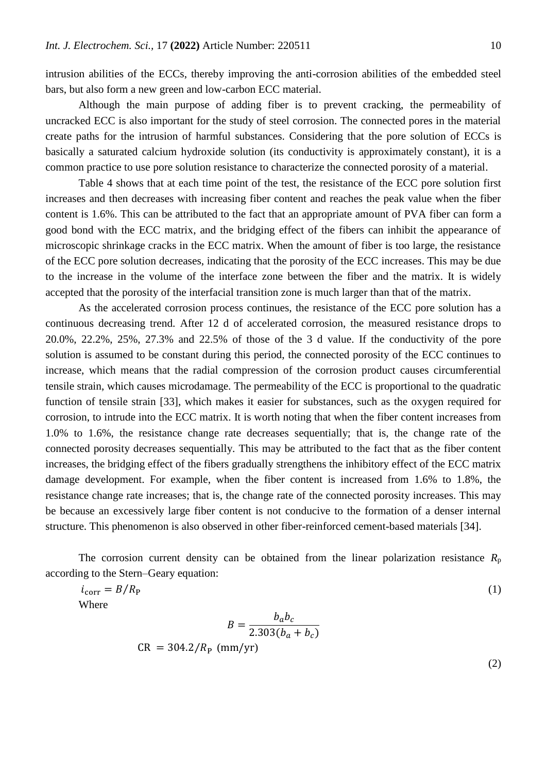intrusion abilities of the ECCs, thereby improving the anti-corrosion abilities of the embedded steel bars, but also form a new green and low-carbon ECC material.

Although the main purpose of adding fiber is to prevent cracking, the permeability of uncracked ECC is also important for the study of steel corrosion. The connected pores in the material create paths for the intrusion of harmful substances. Considering that the pore solution of ECCs is basically a saturated calcium hydroxide solution (its conductivity is approximately constant), it is a common practice to use pore solution resistance to characterize the connected porosity of a material.

Table 4 shows that at each time point of the test, the resistance of the ECC pore solution first increases and then decreases with increasing fiber content and reaches the peak value when the fiber content is 1.6%. This can be attributed to the fact that an appropriate amount of PVA fiber can form a good bond with the ECC matrix, and the bridging effect of the fibers can inhibit the appearance of microscopic shrinkage cracks in the ECC matrix. When the amount of fiber is too large, the resistance of the ECC pore solution decreases, indicating that the porosity of the ECC increases. This may be due to the increase in the volume of the interface zone between the fiber and the matrix. It is widely accepted that the porosity of the interfacial transition zone is much larger than that of the matrix.

As the accelerated corrosion process continues, the resistance of the ECC pore solution has a continuous decreasing trend. After 12 d of accelerated corrosion, the measured resistance drops to 20.0%, 22.2%, 25%, 27.3% and 22.5% of those of the 3 d value. If the conductivity of the pore solution is assumed to be constant during this period, the connected porosity of the ECC continues to increase, which means that the radial compression of the corrosion product causes circumferential tensile strain, which causes microdamage. The permeability of the ECC is proportional to the quadratic function of tensile strain [33], which makes it easier for substances, such as the oxygen required for corrosion, to intrude into the ECC matrix. It is worth noting that when the fiber content increases from 1.0% to 1.6%, the resistance change rate decreases sequentially; that is, the change rate of the connected porosity decreases sequentially. This may be attributed to the fact that as the fiber content increases, the bridging effect of the fibers gradually strengthens the inhibitory effect of the ECC matrix damage development. For example, when the fiber content is increased from 1.6% to 1.8%, the resistance change rate increases; that is, the change rate of the connected porosity increases. This may be because an excessively large fiber content is not conducive to the formation of a denser internal structure. This phenomenon is also observed in other fiber-reinforced cement-based materials [34].

The corrosion current density can be obtained from the linear polarization resistance  $R_p$ according to the Stern–Geary equation:

$$
i_{\text{corr}} = B/R_{\text{P}}
$$
  
Where  

$$
B = \frac{b_a b_c}{2.303(b_a + b_c)}
$$
  
CR = 304.2/R<sub>P</sub> (mm/yr) (1)

(2)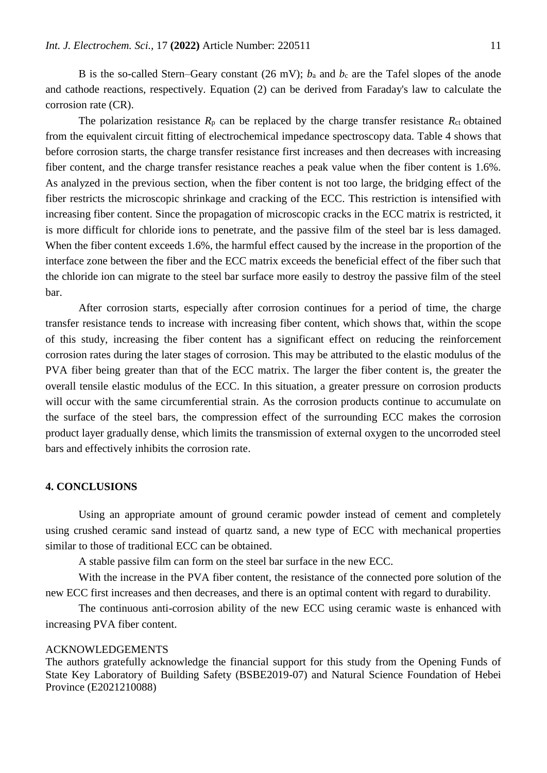B is the so-called Stern–Geary constant (26 mV);  $b_a$  and  $b_c$  are the Tafel slopes of the anode and cathode reactions, respectively. Equation (2) can be derived from Faraday's law to calculate the corrosion rate (CR).

The polarization resistance  $R_p$  can be replaced by the charge transfer resistance  $R_{ct}$  obtained from the equivalent circuit fitting of electrochemical impedance spectroscopy data. Table 4 shows that before corrosion starts, the charge transfer resistance first increases and then decreases with increasing fiber content, and the charge transfer resistance reaches a peak value when the fiber content is 1.6%. As analyzed in the previous section, when the fiber content is not too large, the bridging effect of the fiber restricts the microscopic shrinkage and cracking of the ECC. This restriction is intensified with increasing fiber content. Since the propagation of microscopic cracks in the ECC matrix is restricted, it is more difficult for chloride ions to penetrate, and the passive film of the steel bar is less damaged. When the fiber content exceeds 1.6%, the harmful effect caused by the increase in the proportion of the interface zone between the fiber and the ECC matrix exceeds the beneficial effect of the fiber such that the chloride ion can migrate to the steel bar surface more easily to destroy the passive film of the steel bar.

After corrosion starts, especially after corrosion continues for a period of time, the charge transfer resistance tends to increase with increasing fiber content, which shows that, within the scope of this study, increasing the fiber content has a significant effect on reducing the reinforcement corrosion rates during the later stages of corrosion. This may be attributed to the elastic modulus of the PVA fiber being greater than that of the ECC matrix. The larger the fiber content is, the greater the overall tensile elastic modulus of the ECC. In this situation, a greater pressure on corrosion products will occur with the same circumferential strain. As the corrosion products continue to accumulate on the surface of the steel bars, the compression effect of the surrounding ECC makes the corrosion product layer gradually dense, which limits the transmission of external oxygen to the uncorroded steel bars and effectively inhibits the corrosion rate.

# **4. CONCLUSIONS**

Using an appropriate amount of ground ceramic powder instead of cement and completely using crushed ceramic sand instead of quartz sand, a new type of ECC with mechanical properties similar to those of traditional ECC can be obtained.

A stable passive film can form on the steel bar surface in the new ECC.

With the increase in the PVA fiber content, the resistance of the connected pore solution of the new ECC first increases and then decreases, and there is an optimal content with regard to durability.

The continuous anti-corrosion ability of the new ECC using ceramic waste is enhanced with increasing PVA fiber content.

#### ACKNOWLEDGEMENTS

The authors gratefully acknowledge the financial support for this study from the Opening Funds of State Key Laboratory of Building Safety (BSBE2019-07) and Natural Science Foundation of Hebei Province (E2021210088)